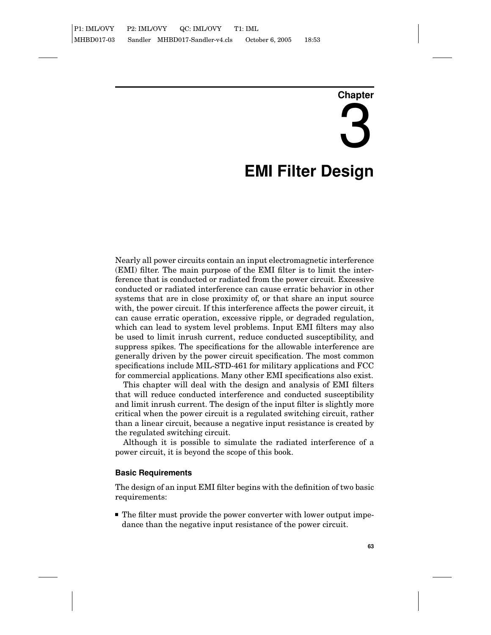# **Chapter** 3 **EMI Filter Design**

Nearly all power circuits contain an input electromagnetic interference (EMI) filter. The main purpose of the EMI filter is to limit the interference that is conducted or radiated from the power circuit. Excessive conducted or radiated interference can cause erratic behavior in other systems that are in close proximity of, or that share an input source with, the power circuit. If this interference affects the power circuit, it can cause erratic operation, excessive ripple, or degraded regulation, which can lead to system level problems. Input EMI filters may also be used to limit inrush current, reduce conducted susceptibility, and suppress spikes. The specifications for the allowable interference are generally driven by the power circuit specification. The most common specifications include MIL-STD-461 for military applications and FCC for commercial applications. Many other EMI specifications also exist.

This chapter will deal with the design and analysis of EMI filters that will reduce conducted interference and conducted susceptibility and limit inrush current. The design of the input filter is slightly more critical when the power circuit is a regulated switching circuit, rather than a linear circuit, because a negative input resistance is created by the regulated switching circuit.

Although it is possible to simulate the radiated interference of a power circuit, it is beyond the scope of this book.

## **Basic Requirements**

The design of an input EMI filter begins with the definition of two basic requirements:

■ The filter must provide the power converter with lower output impedance than the negative input resistance of the power circuit.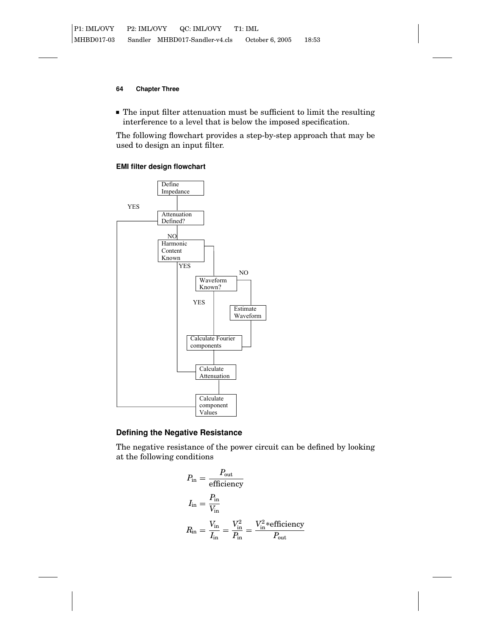The input filter attenuation must be sufficient to limit the resulting interference to a level that is below the imposed specification.

The following flowchart provides a step-by-step approach that may be used to design an input filter.

# **EMI filter design flowchart**



# **Defining the Negative Resistance**

The negative resistance of the power circuit can be defined by looking at the following conditions

$$
P_{\text{in}} = \frac{P_{\text{out}}}{\text{efficiency}}
$$
  
\n
$$
I_{\text{in}} = \frac{P_{\text{in}}}{V_{\text{in}}}
$$
  
\n
$$
R_{\text{in}} = \frac{V_{\text{in}}}{I_{\text{in}}} = \frac{V_{\text{in}}^2}{P_{\text{in}}} = \frac{V_{\text{in}}^2 \text{sefficiency}}{P_{\text{out}}}
$$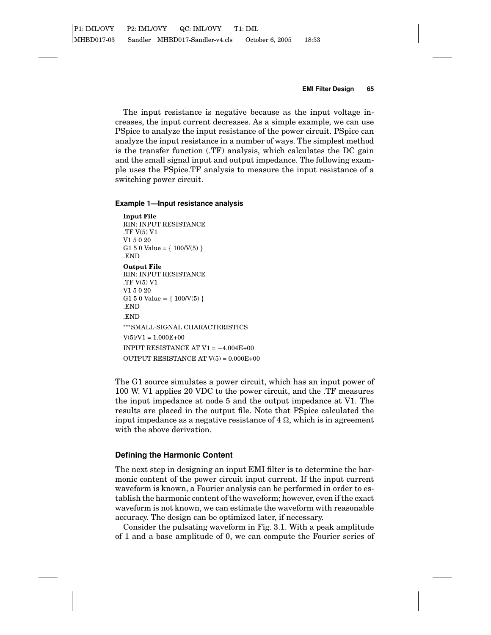The input resistance is negative because as the input voltage increases, the input current decreases. As a simple example, we can use PSpice to analyze the input resistance of the power circuit. PSpice can analyze the input resistance in a number of ways. The simplest method is the transfer function (.TF) analysis, which calculates the DC gain and the small signal input and output impedance. The following example uses the PSpice.TF analysis to measure the input resistance of a switching power circuit.

## **Example 1—Input resistance analysis**

**Input File** RIN: INPUT RESISTANCE .TF V(5) V1 V1 5 0 20 G1 5 0 Value =  $\{ 100/V(5) \}$ .END **Output File** RIN: INPUT RESISTANCE .TF V(5) V1 V1 5 0 20 G1 5 0 Value =  $\{ 100/V(5) \}$ .END .END ∗∗∗SMALL-SIGNAL CHARACTERISTICS  $V(5)/V1 = 1.000E+00$ INPUT RESISTANCE AT V1 = −4.004E+00 OUTPUT RESISTANCE AT V(5) = 0.000E+00

The G1 source simulates a power circuit, which has an input power of 100 W. V1 applies 20 VDC to the power circuit, and the .TF measures the input impedance at node 5 and the output impedance at V1. The results are placed in the output file. Note that PSpice calculated the input impedance as a negative resistance of  $4 \Omega$ , which is in agreement with the above derivation.

## **Defining the Harmonic Content**

The next step in designing an input EMI filter is to determine the harmonic content of the power circuit input current. If the input current waveform is known, a Fourier analysis can be performed in order to establish the harmonic content of the waveform; however, even if the exact waveform is not known, we can estimate the waveform with reasonable accuracy. The design can be optimized later, if necessary.

Consider the pulsating waveform in Fig. 3.1. With a peak amplitude of 1 and a base amplitude of 0, we can compute the Fourier series of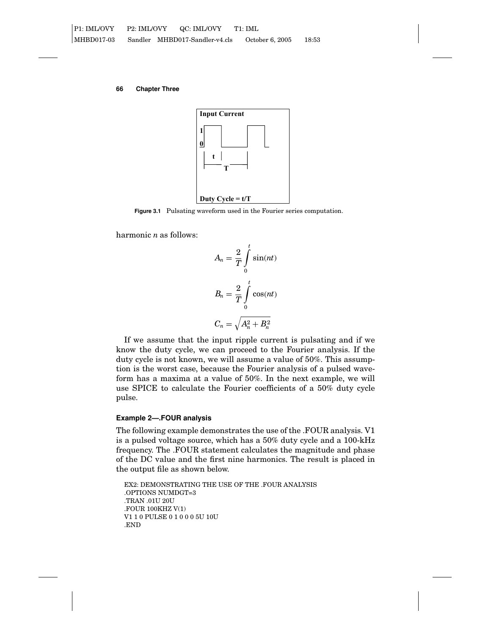

**Figure 3.1** Pulsating waveform used in the Fourier series computation.

harmonic *n* as follows:

$$
A_n = \frac{2}{T} \int_0^t \sin(nt)
$$
  

$$
B_n = \frac{2}{T} \int_0^t \cos(nt)
$$
  

$$
C_n = \sqrt{A_n^2 + B_n^2}
$$

If we assume that the input ripple current is pulsating and if we know the duty cycle, we can proceed to the Fourier analysis. If the duty cycle is not known, we will assume a value of 50%. This assumption is the worst case, because the Fourier analysis of a pulsed waveform has a maxima at a value of 50%. In the next example, we will use SPICE to calculate the Fourier coefficients of a 50% duty cycle pulse.

#### **Example 2—.FOUR analysis**

The following example demonstrates the use of the .FOUR analysis. V1 is a pulsed voltage source, which has a 50% duty cycle and a 100-kHz frequency. The .FOUR statement calculates the magnitude and phase of the DC value and the first nine harmonics. The result is placed in the output file as shown below.

EX2: DEMONSTRATING THE USE OF THE .FOUR ANALYSIS .OPTIONS NUMDGT=3 .TRAN .01U 20U .FOUR 100KHZ V(1) V1 1 0 PULSE 0 1 0 0 0 5U 10U .END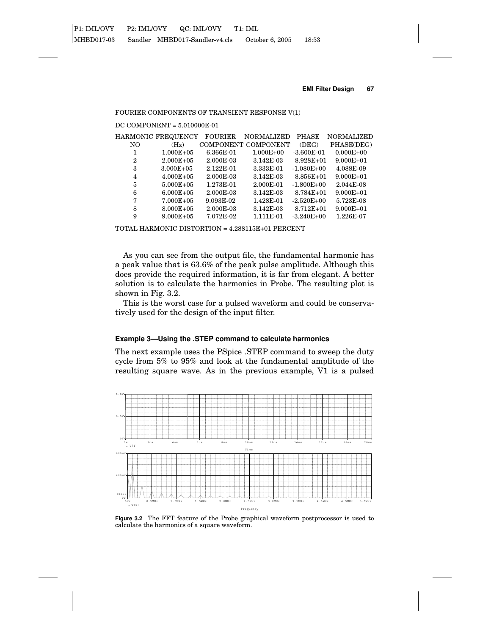#### FOURIER COMPONENTS OF TRANSIENT RESPONSE V(1)

## DC COMPONENT = 5.010000E-01

|                | HARMONIC FREQUENCY | <b>FOURIER</b> | <b>NORMALIZED</b>   | <b>PHASE</b>   | <b>NORMALIZED</b> |
|----------------|--------------------|----------------|---------------------|----------------|-------------------|
| NO             | (Hz)               |                | COMPONENT COMPONENT | (DEG)          | PHASE(DEG)        |
|                | $1.000E + 05$      | 6.366E-01      | $1.000E + 00$       | $-3.600E-01$   | $0.000E + 00$     |
| $\overline{2}$ | $2.000E + 0.5$     | 2.000E-03      | 3.142E-03           | $8.928E + 01$  | $9.000E + 01$     |
| 3              | $3.000E + 05$      | 2.122E-01      | 3.333E-01           | $-1.080E + 00$ | 4.088E-09         |
| 4              | $4.000E + 0.5$     | 2.000E-03      | 3.142E-03           | 8.856E+01      | $9.000E + 01$     |
| 5              | $5.000E + 0.5$     | 1.273E-01      | 2.000E-01           | $-1.800E + 00$ | 2.044E-08         |
| 6              | $6.000E + 05$      | 2.000E-03      | 3.142E-03           | 8.784E+01      | $9.000E + 01$     |
| 7              | $7.000E + 0.5$     | 9.093E-02      | 1.428E-01           | $-2.520E + 00$ | 5.723E-08         |
| 8              | $8.000E + 05$      | 2.000E-03      | 3.142E-03           | $8.712E + 01$  | $9.000E + 01$     |
| 9              | $9.000E + 0.5$     | 7.072E-02      | 1.111E-01           | $-3.240E + 00$ | 1.226E-07         |
|                |                    |                |                     |                |                   |

TOTAL HARMONIC DISTORTION = 4.288115E+01 PERCENT

As you can see from the output file, the fundamental harmonic has a peak value that is 63.6% of the peak pulse amplitude. Although this does provide the required information, it is far from elegant. A better solution is to calculate the harmonics in Probe. The resulting plot is shown in Fig. 3.2.

This is the worst case for a pulsed waveform and could be conservatively used for the design of the input filter.

# **Example 3—Using the .STEP command to calculate harmonics**

The next example uses the PSpice .STEP command to sweep the duty cycle from 5% to 95% and look at the fundamental amplitude of the resulting square wave. As in the previous example, V1 is a pulsed



**Figure 3.2** The FFT feature of the Probe graphical waveform postprocessor is used to calculate the harmonics of a square waveform.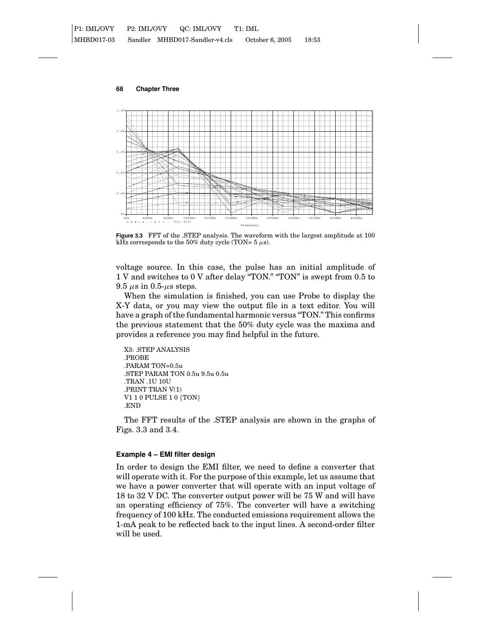**68 Chapter Three**



**Figure 3.3** FFT of the .STEP analysis. The waveform with the largest amplitude at 100 kHz corresponds to the 50% duty cycle (TON=  $5 \mu s$ ).

voltage source. In this case, the pulse has an initial amplitude of 1 V and switches to 0 V after delay "TON." "TON" is swept from 0.5 to 9.5  $\mu$ s in 0.5- $\mu$ s steps.

When the simulation is finished, you can use Probe to display the X-Y data, or you may view the output file in a text editor. You will have a graph of the fundamental harmonic versus "TON." This confirms the previous statement that the 50% duty cycle was the maxima and provides a reference you may find helpful in the future.

```
X3: .STEP ANALYSIS
.PROBE
.PARAM TON=0.5u
.STEP PARAM TON 0.5u 9.5u 0.5u
.TRAN .1U 10U
.PRINT TRAN V(1)
V1 1 0 PULSE 1 0 {TON}
.END
```
The FFT results of the .STEP analysis are shown in the graphs of Figs. 3.3 and 3.4.

## **Example 4 – EMI filter design**

In order to design the EMI filter, we need to define a converter that will operate with it. For the purpose of this example, let us assume that we have a power converter that will operate with an input voltage of 18 to 32 V DC. The converter output power will be 75 W and will have an operating efficiency of 75%. The converter will have a switching frequency of 100 kHz. The conducted emissions requirement allows the 1-mA peak to be reflected back to the input lines. A second-order filter will be used.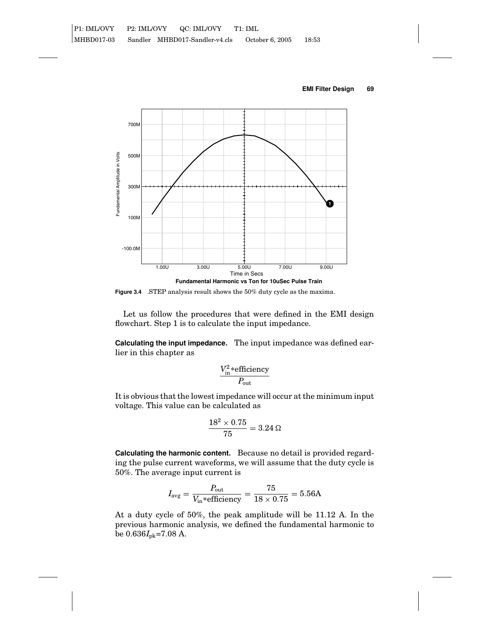

**Figure 3.4** .STEP analysis result shows the 50% duty cycle as the maxima.

Let us follow the procedures that were defined in the EMI design flowchart. Step 1 is to calculate the input impedance.

**Calculating the input impedance.** The input impedance was defined earlier in this chapter as

$$
\frac{V_{\text{in}}^2*\text{efficiency}}{P_{\text{out}}}
$$

It is obvious that the lowest impedance will occur at the minimum input voltage. This value can be calculated as

$$
\frac{18^2 \times 0.75}{75} = 3.24 \, \Omega
$$

**Calculating the harmonic content.** Because no detail is provided regarding the pulse current waveforms, we will assume that the duty cycle is 50%. The average input current is

$$
I_{\text{avg}} = \frac{P_{\text{out}}}{V_{\text{in}} * \text{efficiency}} = \frac{75}{18 \times 0.75} = 5.56 \text{A}
$$

At a duty cycle of 50%, the peak amplitude will be 11.12 A. In the previous harmonic analysis, we defined the fundamental harmonic to be 0.636*I*pk=7.08 A.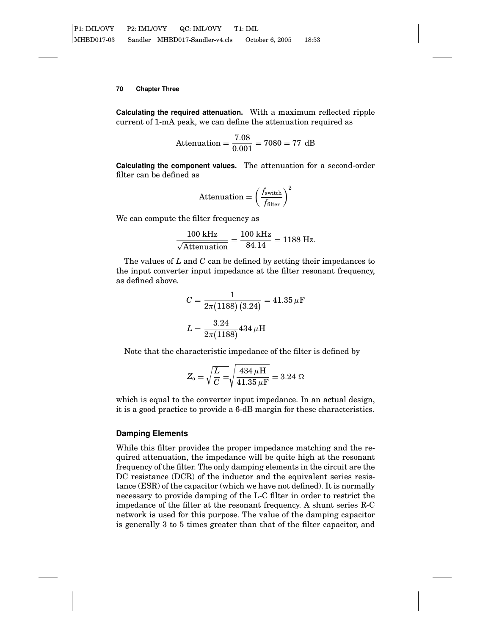**Calculating the required attenuation.** With a maximum reflected ripple current of 1-mA peak, we can define the attenuation required as

Attention = 
$$
\frac{7.08}{0.001} = 7080 = 77
$$
 dB

**Calculating the component values.** The attenuation for a second-order filter can be defined as

$$
Attention = \left(\frac{f_{\text{switch}}}{f_{\text{filter}}}\right)^2
$$

We can compute the filter frequency as

$$
\frac{100 \text{ kHz}}{\sqrt{\text{Attention}}} = \frac{100 \text{ kHz}}{84.14} = 1188 \text{ Hz}.
$$

The values of *L* and *C* can be defined by setting their impedances to the input converter input impedance at the filter resonant frequency, as defined above.

$$
C = \frac{1}{2\pi (1188) (3.24)} = 41.35 \,\mu\text{F}
$$

$$
L = \frac{3.24}{2\pi (1188)} 434 \,\mu\text{H}
$$

Note that the characteristic impedance of the filter is defined by

$$
Z_{\rm o} = \sqrt{\frac{L}{C}} = \sqrt{\frac{434 \,\mu\text{H}}{41.35 \,\mu\text{F}}} = 3.24 \,\Omega
$$

which is equal to the converter input impedance. In an actual design, it is a good practice to provide a 6-dB margin for these characteristics.

# **Damping Elements**

While this filter provides the proper impedance matching and the required attenuation, the impedance will be quite high at the resonant frequency of the filter. The only damping elements in the circuit are the DC resistance (DCR) of the inductor and the equivalent series resistance (ESR) of the capacitor (which we have not defined). It is normally necessary to provide damping of the L-C filter in order to restrict the impedance of the filter at the resonant frequency. A shunt series R-C network is used for this purpose. The value of the damping capacitor is generally 3 to 5 times greater than that of the filter capacitor, and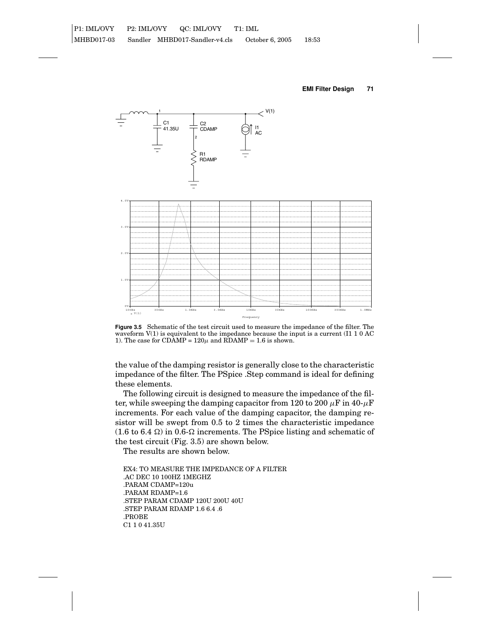

**Figure 3.5** Schematic of the test circuit used to measure the impedance of the filter. The waveform  $V(1)$  is equivalent to the impedance because the input is a current (I1 1 0 AC 1). The case for CDAMP =  $120\mu$  and RDAMP = 1.6 is shown.

the value of the damping resistor is generally close to the characteristic impedance of the filter. The PSpice .Step command is ideal for defining these elements.

The following circuit is designed to measure the impedance of the filter, while sweeping the damping capacitor from 120 to 200  $\mu$ F in 40- $\mu$ F increments. For each value of the damping capacitor, the damping resistor will be swept from 0.5 to 2 times the characteristic impedance (1.6 to 6.4  $\Omega$ ) in 0.6- $\Omega$  increments. The PSpice listing and schematic of the test circuit (Fig. 3.5) are shown below.

The results are shown below.

EX4: TO MEASURE THE IMPEDANCE OF A FILTER .AC DEC 10 100HZ 1MEGHZ .PARAM CDAMP=120u .PARAM RDAMP=1.6 .STEP PARAM CDAMP 120U 200U 40U .STEP PARAM RDAMP 1.6 6.4 .6 .PROBE C1 1 0 41.35U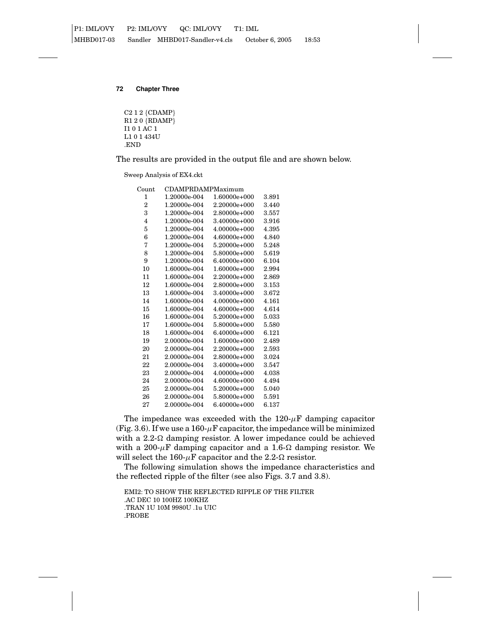C212 {CDAMP} R120 {RDAMP} I1 0 1 AC 1 L1 0 1 434U .END

The results are provided in the output file and are shown below.

Sweep Analysis of EX4.ckt

| $_{\rm Count}$ | <b>CDAMPRDAMPMaximum</b> |                |           |  |  |
|----------------|--------------------------|----------------|-----------|--|--|
| 1              | 1.20000e-004             | $1.60000e+000$ | 3.891     |  |  |
| 2              | 1.20000e-004             | $2.20000e+000$ | 3.440     |  |  |
| 3              | 1.20000e-004             | 2.80000e+000   | 3.557     |  |  |
| $\overline{4}$ | 1.20000e-004             | $3.40000e+000$ | 3.916     |  |  |
| 5              | 1.20000e-004             | $4.00000e+000$ | 4.395     |  |  |
| 6              | 1.20000e-004             | $4.60000e+000$ | 4.840     |  |  |
| 7              | 1.20000e-004             | $5.20000e+000$ | 5.248     |  |  |
| 8              | 1.20000e-004             | 5.80000e+000   | 5.619     |  |  |
| 9              | 1.20000e-004             | $6.40000e+000$ | 6.104     |  |  |
| 10             | 1.60000e-004             | $1.60000e+000$ | 2.994     |  |  |
| 11             | 1.60000e-004             | $2.20000e+000$ | 2.869     |  |  |
| 12             | 1.60000e-004             | 2.80000e+000   | $3.153\,$ |  |  |
| 13             | 1.60000e-004             | 3.40000e+000   | 3.672     |  |  |
| 14             | 1.60000e-004             | 4.00000e+000   | 4.161     |  |  |
| 15             | 1.60000e-004             | 4.60000e+000   | 4.614     |  |  |
| 16             | 1.60000e-004             | $5.20000e+000$ | 5.033     |  |  |
| 17             | 1.60000e-004             | 5.80000e+000   | 5.580     |  |  |
| 18             | 1.60000e-004             | $6.40000e+000$ | 6.121     |  |  |
| 19             | 2.00000e-004             | $1.60000e+000$ | 2.489     |  |  |
| 20             | 2.00000e-004             | $2.20000e+000$ | 2.593     |  |  |
| 21             | 2.00000e-004             | 2.80000e+000   | 3.024     |  |  |
| 22             | 2.00000e-004             | $3.40000e+000$ | 3.547     |  |  |
| 23             | 2.00000e-004             | $4.00000e+000$ | 4.038     |  |  |
| 24             | 2.00000e-004             | $4.60000e+000$ | 4.494     |  |  |
| 25             | 2.00000e-004             | 5.20000e+000   | 5.040     |  |  |
| 26             | 2.00000e-004             | 5.80000e+000   | 5.591     |  |  |
| 27             | 2.00000e-004             | $6.40000e+000$ | 6.137     |  |  |

The impedance was exceeded with the  $120-\mu$ F damping capacitor (Fig. 3.6). If we use a 160- $\mu$ F capacitor, the impedance will be minimized with a  $2.2-\Omega$  damping resistor. A lower impedance could be achieved with a 200- $\mu$ F damping capacitor and a 1.6- $\Omega$  damping resistor. We will select the 160- $\mu$ F capacitor and the 2.2- $\Omega$  resistor.

The following simulation shows the impedance characteristics and the reflected ripple of the filter (see also Figs. 3.7 and 3.8).

EMI2: TO SHOW THE REFLECTED RIPPLE OF THE FILTER .AC DEC 10 100HZ 100KHZ .TRAN 1U 10M 9980U .1u UIC .PROBE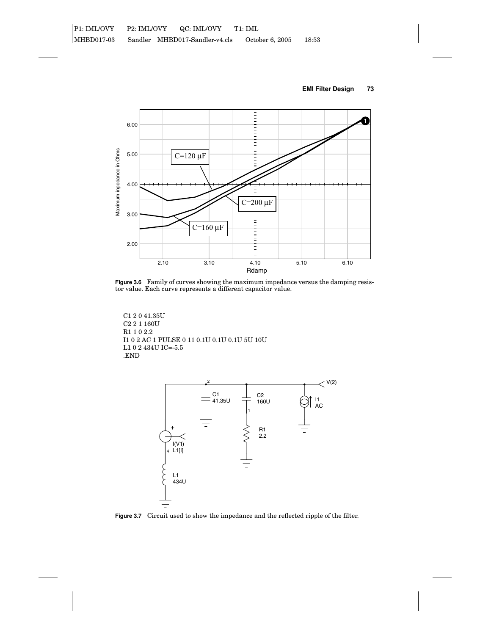

**Figure 3.6** Family of curves showing the maximum impedance versus the damping resistor value. Each curve represents a different capacitor value.

C1 2 0 41.35U C2 2 1 160U R1 1 0 2.2 I1 0 2 AC 1 PULSE 0 11 0.1U 0.1U 0.1U 5U 10U L1 0 2 434U IC=-5.5  $\,$ .END



**Figure 3.7** Circuit used to show the impedance and the reflected ripple of the filter.

## **EMI Filter Design 73**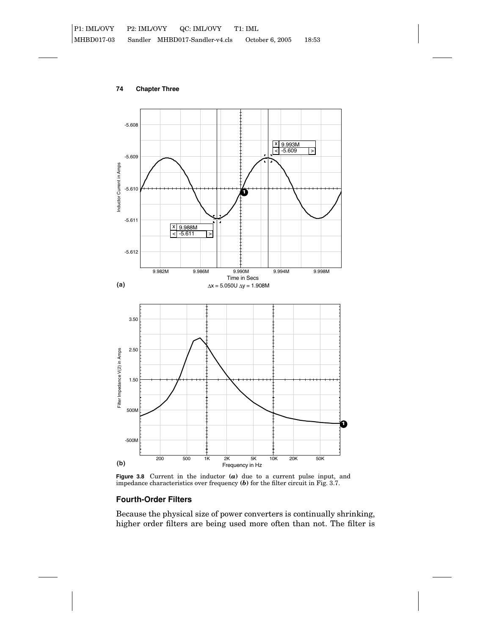



**Figure 3.8** Current in the inductor **(***a***)** due to a current pulse input, and impedance characteristics over frequency **(***b***)** for the filter circuit in Fig. 3.7.

# **Fourth-Order Filters**

Because the physical size of power converters is continually shrinking, higher order filters are being used more often than not. The filter is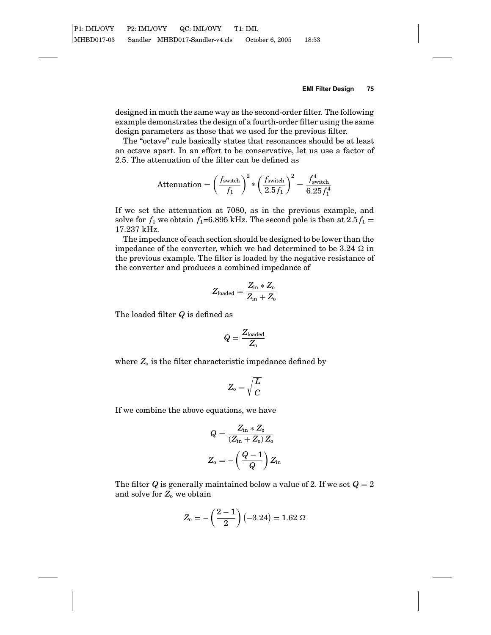designed in much the same way as the second-order filter. The following example demonstrates the design of a fourth-order filter using the same design parameters as those that we used for the previous filter.

The "octave" rule basically states that resonances should be at least an octave apart. In an effort to be conservative, let us use a factor of 2.5. The attenuation of the filter can be defined as

$$
\text{Attention} = \left(\frac{f_{\text{switch}}}{f_1}\right)^2 * \left(\frac{f_{\text{switch}}}{2.5 f_1}\right)^2 = \frac{f_{\text{switch}}^4}{6.25 f_1^4}
$$

If we set the attenuation at 7080, as in the previous example, and solve for  $f_1$  we obtain  $f_1$ =6.895 kHz. The second pole is then at 2.5  $f_1$  = 17.237 kHz.

The impedance of each section should be designed to be lower than the impedance of the converter, which we had determined to be  $3.24 \Omega$  in the previous example. The filter is loaded by the negative resistance of the converter and produces a combined impedance of

$$
Z_{\text{loaded}} = \frac{Z_{\text{in}} * Z_{\text{o}}}{Z_{\text{in}} + Z_{\text{o}}}
$$

The loaded filter *Q* is defined as

$$
Q=\frac{Z_{\rm loaded}}{Z_{\rm o}}
$$

where  $Z_0$  is the filter characteristic impedance defined by

$$
Z_{\rm o}=\sqrt{\frac{L}{C}}
$$

If we combine the above equations, we have

$$
Q = \frac{Z_{\rm in} * Z_{\rm o}}{(Z_{\rm in} + Z_{\rm o}) Z_{\rm o}}
$$

$$
Z_{\rm o} = -\left(\frac{Q-1}{Q}\right) Z_{\rm in}
$$

The filter *Q* is generally maintained below a value of 2. If we set  $Q = 2$ and solve for  $Z_0$  we obtain

$$
Z_0 = -\left(\frac{2-1}{2}\right)(-3.24) = 1.62 \ \Omega
$$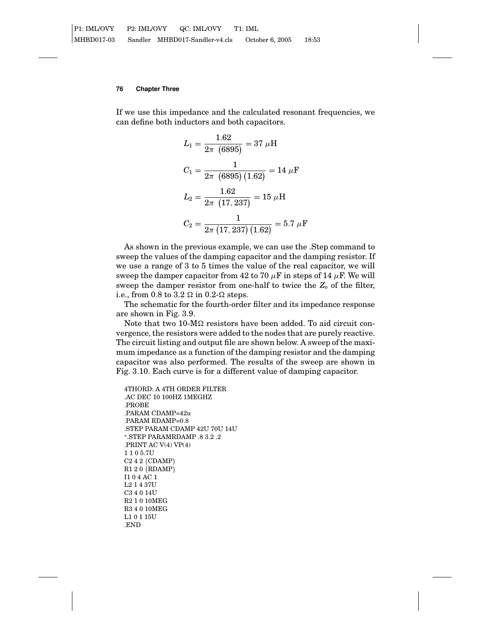If we use this impedance and the calculated resonant frequencies, we can define both inductors and both capacitors.

$$
L_1 = \frac{1.62}{2\pi (6895)} = 37 \ \mu\text{H}
$$
\n
$$
C_1 = \frac{1}{2\pi (6895)(1.62)} = 14 \ \mu\text{F}
$$
\n
$$
L_2 = \frac{1.62}{2\pi (17, 237)} = 15 \ \mu\text{H}
$$
\n
$$
C_2 = \frac{1}{2\pi (17, 237)(1.62)} = 5.7 \ \mu\text{F}
$$

As shown in the previous example, we can use the .Step command to sweep the values of the damping capacitor and the damping resistor. If we use a range of 3 to 5 times the value of the real capacitor, we will sweep the damper capacitor from 42 to 70  $\mu$ F in steps of 14  $\mu$ F. We will sweep the damper resistor from one-half to twice the  $Z_0$  of the filter, i.e., from 0.8 to 3.2  $\Omega$  in 0.2- $\Omega$  steps.

The schematic for the fourth-order filter and its impedance response are shown in Fig. 3.9.

Note that two 10-M $\Omega$  resistors have been added. To aid circuit convergence, the resistors were added to the nodes that are purely reactive. The circuit listing and output file are shown below. A sweep of the maximum impedance as a function of the damping resistor and the damping capacitor was also performed. The results of the sweep are shown in Fig. 3.10. Each curve is for a different value of damping capacitor.

```
4THORD: A 4TH ORDER FILTER
.AC DEC 10 100HZ 1MEGHZ
.PROBE
.PARAM CDAMP=42u
.PARAM RDAMP=0.8
.STEP PARAM CDAMP 42U 70U 14U
∗.STEP PARAMRDAMP .8 3.2 .2
.PRINT AC V(4) VP(4)
110 5.7U
C242 {CDAMP}
R120 {RDAMP}
I1 0 4 AC 1
L2 1 4 37U
C3 4 0 14U
R2 1 0 10MEG
R3 4 0 10MEG
L1 0 1 15U
.END
```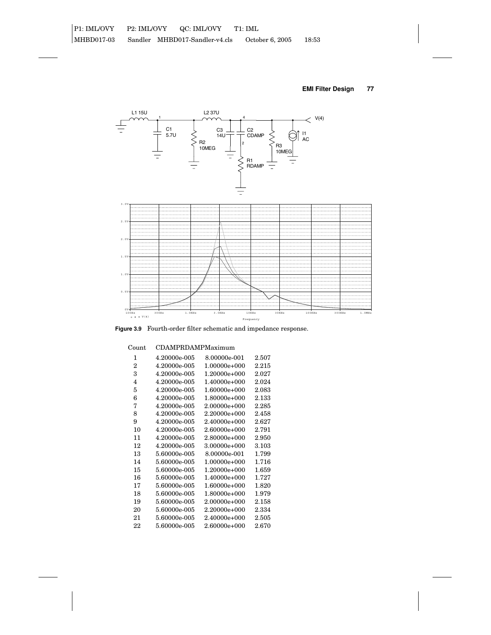



**Figure 3.9** Fourth-order filter schematic and impedance response.

| CDAMPRDAMPMaximum |                |       |  |
|-------------------|----------------|-------|--|
| 4.20000e-005      | 8.00000e-001   | 2.507 |  |
| 4.20000e-005      | $1.00000e+000$ | 2.215 |  |
| 4.20000e-005      | $1.20000e+000$ | 2.027 |  |
| 4.20000e-005      | 1.40000e+000   | 2.024 |  |
| 4.20000e-005      | $1.60000e+000$ | 2.083 |  |
| 4.20000e-005      | $1.80000e+000$ | 2.133 |  |
| 4.20000e-005      | $2.00000e+000$ | 2.285 |  |
| 4.20000e-005      | $2.20000e+000$ | 2.458 |  |
| 4.20000e-005      | 2.40000e+000   | 2.627 |  |
| 4.20000e-005      | $2.60000e+000$ | 2.791 |  |
| 4.20000e-005      | 2.80000e+000   | 2.950 |  |
| 4.20000e-005      | 3.00000e+000   | 3.103 |  |
| 5.60000e-005      | 8.00000e-001   | 1.799 |  |
| 5.60000e-005      | $1.00000e+000$ | 1.716 |  |
| 5.60000e-005      | $1.20000e+000$ | 1.659 |  |
| 5.60000e-005      | 1.40000e+000   | 1.727 |  |
| 5.60000e-005      | $1.60000e+000$ | 1.820 |  |
| 5.60000e-005      | $1.80000e+000$ | 1.979 |  |
| 5.60000e-005      | $2.00000e+000$ | 2.158 |  |
| 5.60000e-005      | $2.20000e+000$ | 2.334 |  |
| 5.60000e-005      | 2.40000e+000   | 2.505 |  |
| 5.60000e-005      | 2.60000e+000   | 2.670 |  |
|                   |                |       |  |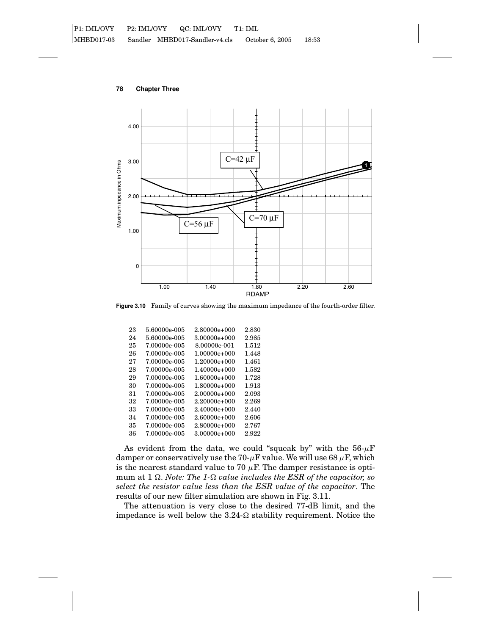

**Figure 3.10** Family of curves showing the maximum impedance of the fourth-order filter.

| 23 | 5.60000e-005 | 2.80000e+000     | 2.830 |
|----|--------------|------------------|-------|
| 24 | 5.60000e-005 | 3.00000e+000     | 2.985 |
| 25 | 7.00000e-005 | 8.00000e-001     | 1.512 |
| 26 | 7.00000e-005 | $1.00000e + 000$ | 1.448 |
| 27 | 7.00000e-005 | $1.20000e+000$   | 1.461 |
| 28 | 7.00000e-005 | $1.40000e+000$   | 1.582 |
| 29 | 7.00000e-005 | $1.60000e+000$   | 1.728 |
| 30 | 7.00000e-005 | $1.80000e+000$   | 1.913 |
| 31 | 7.00000e-005 | $2.00000e+000$   | 2.093 |
| 32 | 7.00000e-005 | $2.20000e+000$   | 2.269 |
| 33 | 7.00000e-005 | $2.40000e+000$   | 2.440 |
| 34 | 7.00000e-005 | 2.60000e+000     | 2.606 |
| 35 | 7.00000e-005 | 2.80000e+000     | 2.767 |
| 36 | 7.00000e-005 | 3.00000e+000     | 2.922 |

As evident from the data, we could "squeak by" with the  $56-\mu$ F damper or conservatively use the 70- $\mu$ F value. We will use 68  $\mu$ F, which is the nearest standard value to 70  $\mu$ F. The damper resistance is optimum at 1  $\Omega$ . *Note: The 1-* $\Omega$  *value includes the ESR of the capacitor, so select the resistor value less than the ESR value of the capacitor*. The results of our new filter simulation are shown in Fig. 3.11.

The attenuation is very close to the desired 77-dB limit, and the impedance is well below the  $3.24-\Omega$  stability requirement. Notice the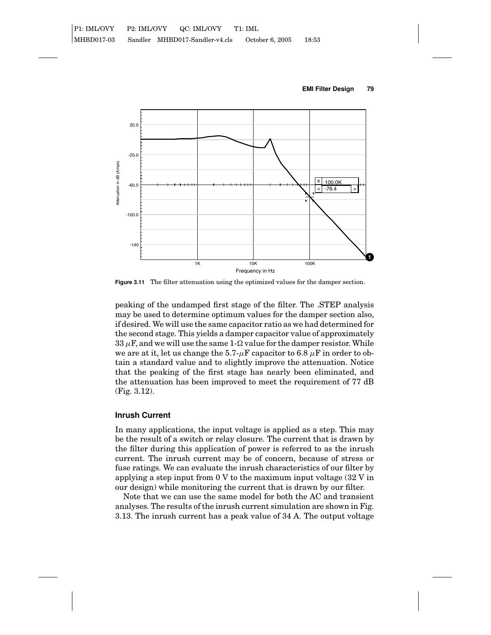



**Figure 3.11** The filter attenuation using the optimized values for the damper section.

peaking of the undamped first stage of the filter. The .STEP analysis may be used to determine optimum values for the damper section also, if desired. We will use the same capacitor ratio as we had determined for the second stage. This yields a damper capacitor value of approximately 33  $\mu$ F, and we will use the same 1- $\Omega$  value for the damper resistor. While we are at it, let us change the 5.7- $\mu$ F capacitor to 6.8  $\mu$ F in order to obtain a standard value and to slightly improve the attenuation. Notice that the peaking of the first stage has nearly been eliminated, and the attenuation has been improved to meet the requirement of 77 dB (Fig. 3.12).

# **Inrush Current**

In many applications, the input voltage is applied as a step. This may be the result of a switch or relay closure. The current that is drawn by the filter during this application of power is referred to as the inrush current. The inrush current may be of concern, because of stress or fuse ratings. We can evaluate the inrush characteristics of our filter by applying a step input from 0 V to the maximum input voltage (32 V in our design) while monitoring the current that is drawn by our filter.

Note that we can use the same model for both the AC and transient analyses. The results of the inrush current simulation are shown in Fig. 3.13. The inrush current has a peak value of 34 A. The output voltage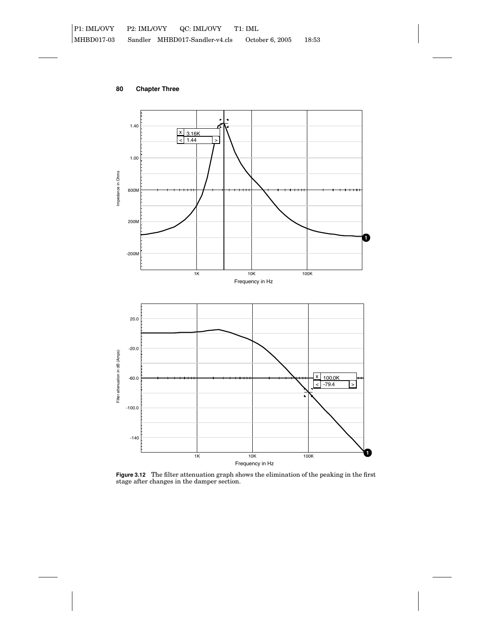

**Figure 3.12** The filter attenuation graph shows the elimination of the peaking in the first stage after changes in the damper section.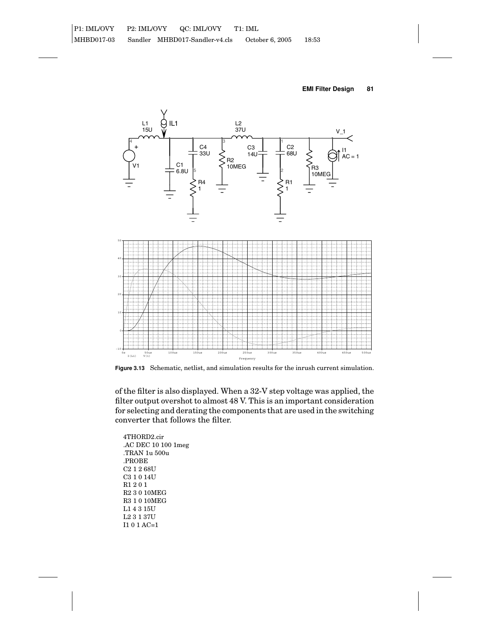





**Figure 3.13** Schematic, netlist, and simulation results for the inrush current simulation.

of the filter is also displayed. When a 32-V step voltage was applied, the filter output overshot to almost 48 V. This is an important consideration for selecting and derating the components that are used in the switching converter that follows the filter.

4THORD2.cir .AC DEC 10 100 1meg .TRAN 1u 500u .PROBE C2 1 2 68U C3 1 0 14U R1201 R2 3 0 10MEG R3 1 0 10MEG L1 4 3 15U L2 3 1 37U I1 0 1 AC=1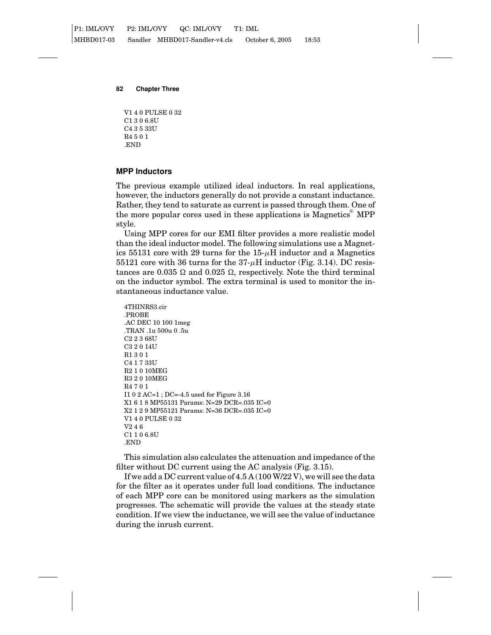V1 4 0 PULSE 0 32 C1 3 0 6.8U C4 3 5 33U R4501 .END

# **MPP Inductors**

The previous example utilized ideal inductors. In real applications, however, the inductors generally do not provide a constant inductance. Rather, they tend to saturate as current is passed through them. One of the more popular cores used in these applications is Magnetics<sup>®</sup> MPP style.

Using MPP cores for our EMI filter provides a more realistic model than the ideal inductor model. The following simulations use a Magnetics 55131 core with 29 turns for the  $15-\mu$ H inductor and a Magnetics 55121 core with 36 turns for the  $37-\mu$ H inductor (Fig. 3.14). DC resistances are 0.035  $\Omega$  and 0.025  $\Omega$ , respectively. Note the third terminal on the inductor symbol. The extra terminal is used to monitor the instantaneous inductance value.

```
4THINRS3.cir
.PROBE
.AC DEC 10 100 1meg
.TRAN .1u 500u 0 .5u
C2 2 3 68U
C3 2 0 14U
R1301
C4 1 7 33U
R2 1 0 10MEG
R3 2 0 10MEG
R4701
I1 0 2 AC=1 ; DC=-4.5 used for Figure 3.16
X1618 MP55131 Params: N=29 DCR=.035 IC=0
X2129 MP55121 Params: N=36 DCR=.035 IC=0
V1 4 0 PULSE 0 32
V246
C1 1 0 6.8U
.END
```
This simulation also calculates the attenuation and impedance of the filter without DC current using the AC analysis (Fig. 3.15).

If we add a DC current value of 4.5 A (100 W/22 V), we will see the data for the filter as it operates under full load conditions. The inductance of each MPP core can be monitored using markers as the simulation progresses. The schematic will provide the values at the steady state condition. If we view the inductance, we will see the value of inductance during the inrush current.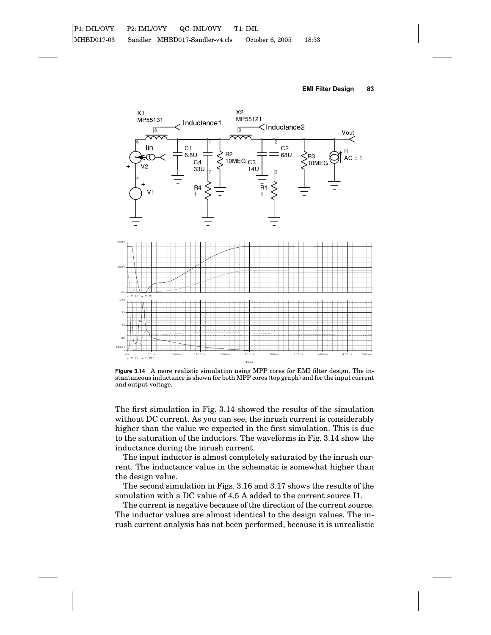



**Figure 3.14** A more realistic simulation using MPP cores for EMI filter design. The instantaneous inductance is shown for both MPP cores (top graph) and for the input current and output voltage.

The first simulation in Fig. 3.14 showed the results of the simulation without DC current. As you can see, the inrush current is considerably higher than the value we expected in the first simulation. This is due to the saturation of the inductors. The waveforms in Fig. 3.14 show the inductance during the inrush current.

The input inductor is almost completely saturated by the inrush current. The inductance value in the schematic is somewhat higher than the design value.

The second simulation in Figs. 3.16 and 3.17 shows the results of the simulation with a DC value of 4.5 A added to the current source I1.

The current is negative because of the direction of the current source. The inductor values are almost identical to the design values. The inrush current analysis has not been performed, because it is unrealistic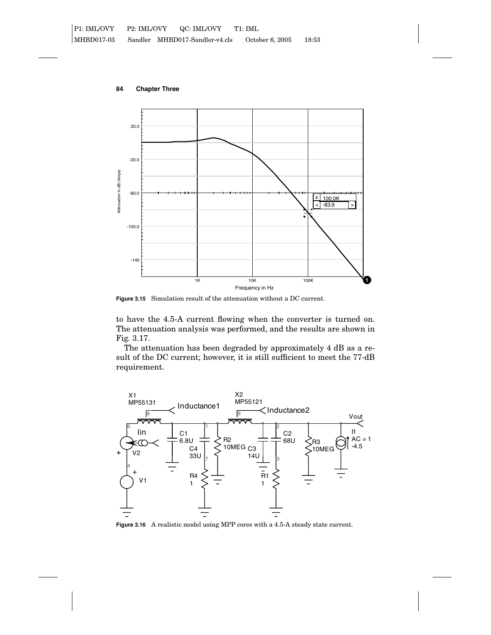**84 Chapter Three**



**Figure 3.15** Simulation result of the attenuation without a DC current.

to have the 4.5-A current flowing when the converter is turned on. The attenuation analysis was performed, and the results are shown in Fig. 3.17.

The attenuation has been degraded by approximately 4 dB as a result of the DC current; however, it is still sufficient to meet the 77-dB requirement.



**Figure 3.16** A realistic model using MPP cores with a 4.5-A steady state current.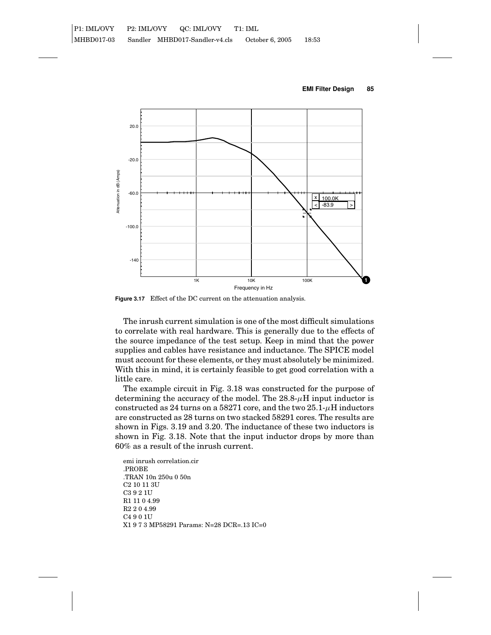



**Figure 3.17** Effect of the DC current on the attenuation analysis.

The inrush current simulation is one of the most difficult simulations to correlate with real hardware. This is generally due to the effects of the source impedance of the test setup. Keep in mind that the power supplies and cables have resistance and inductance. The SPICE model must account for these elements, or they must absolutely be minimized. With this in mind, it is certainly feasible to get good correlation with a little care.

The example circuit in Fig. 3.18 was constructed for the purpose of determining the accuracy of the model. The  $28.8\text{-}\mu\text{H}$  input inductor is constructed as 24 turns on a 58271 core, and the two  $25.1-\mu$ H inductors are constructed as 28 turns on two stacked 58291 cores. The results are shown in Figs. 3.19 and 3.20. The inductance of these two inductors is shown in Fig. 3.18. Note that the input inductor drops by more than 60% as a result of the inrush current.

emi inrush correlation.cir .PROBE .TRAN 10n 250u 0 50n C2 10 11 3U C3 9 2 1U R1 11 0 4.99 R2 2 0 4.99 C4 9 0 1U X1973 MP58291 Params: N=28 DCR=.13 IC=0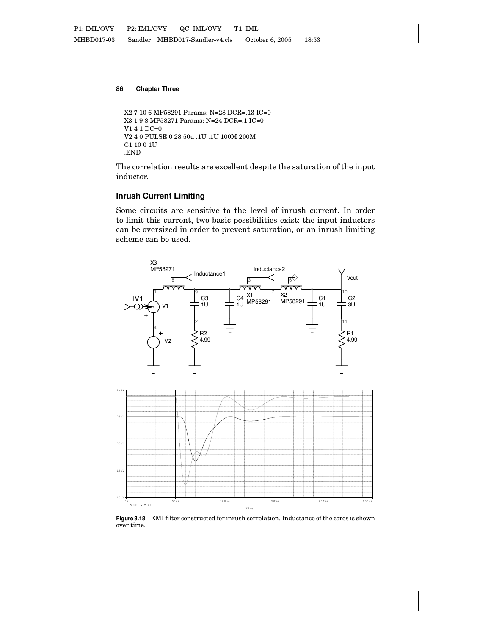```
X2 7 10 6 MP58291 Params: N=28 DCR=.13 IC=0
X3198 MP58271 Params: N=24 DCR=.1 IC=0
V1 4 1 DC=0
V2 4 0 PULSE 0 28 50u .1U .1U 100M 200M
C1 10 0 1U
.END
```
The correlation results are excellent despite the saturation of the input inductor.

# **Inrush Current Limiting**

Some circuits are sensitive to the level of inrush current. In order to limit this current, two basic possibilities exist: the input inductors can be oversized in order to prevent saturation, or an inrush limiting scheme can be used.



**Figure 3.18** EMI filter constructed for inrush correlation. Inductance of the cores is shown over time.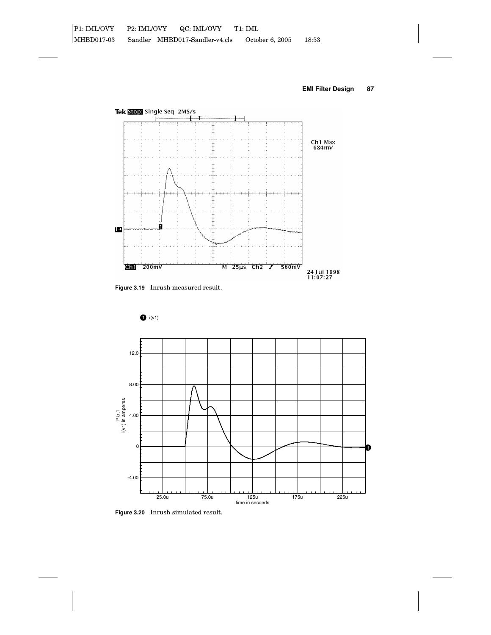



**Figure 3.19** Inrush measured result.

 $\bullet$  i(v1)



**Figure 3.20** Inrush simulated result.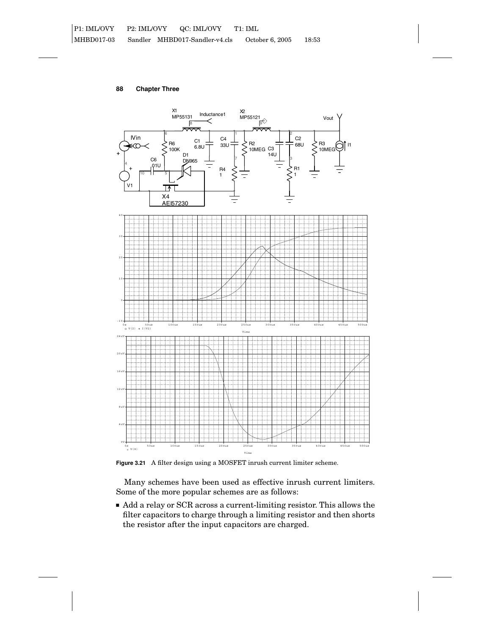

**Figure 3.21** A filter design using a MOSFET inrush current limiter scheme.

Many schemes have been used as effective inrush current limiters. Some of the more popular schemes are as follows:

 Add a relay or SCR across a current-limiting resistor. This allows the filter capacitors to charge through a limiting resistor and then shorts the resistor after the input capacitors are charged.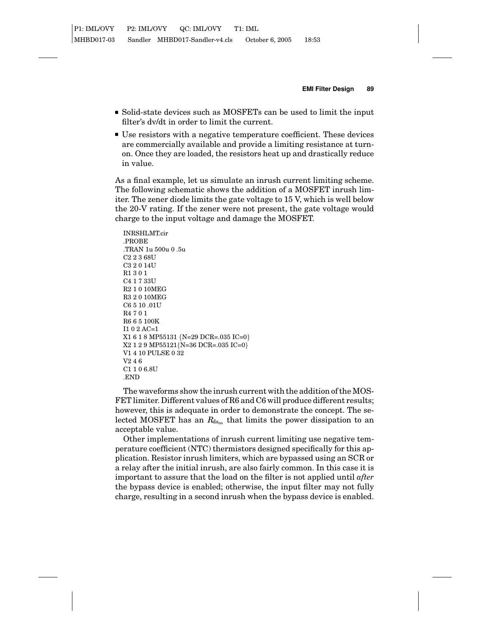- Solid-state devices such as MOSFETs can be used to limit the input filter's dv/dt in order to limit the current.
- Use resistors with a negative temperature coefficient. These devices are commercially available and provide a limiting resistance at turnon. Once they are loaded, the resistors heat up and drastically reduce in value.

As a final example, let us simulate an inrush current limiting scheme. The following schematic shows the addition of a MOSFET inrush limiter. The zener diode limits the gate voltage to 15 V, which is well below the 20-V rating. If the zener were not present, the gate voltage would charge to the input voltage and damage the MOSFET.

INRSHLMT.cir .PROBE .TRAN 1u 500u 0 .5u C2 2 3 68U C3 2 0 14U R1301 C4 1 7 33U R2 1 0 10MEG R3 2 0 10MEG C6 5 10 .01U R4701 R6 6 5 100K I1 0 2 AC=1 X1618 MP55131 {N=29 DCR=.035 IC=0} X2129 MP55121{N=36 DCR=.035 IC=0} V1 4 10 PULSE 0 32 V246 C1 1 0 6.8U .END

The waveforms show the inrush current with the addition of the MOS-FET limiter. Different values of R6 and C6 will produce different results; however, this is adequate in order to demonstrate the concept. The selected MOSFET has an  $R_{\text{ds}_m}$  that limits the power dissipation to an acceptable value.

Other implementations of inrush current limiting use negative temperature coefficient (NTC) thermistors designed specifically for this application. Resistor inrush limiters, which are bypassed using an SCR or a relay after the initial inrush, are also fairly common. In this case it is important to assure that the load on the filter is not applied until *after* the bypass device is enabled; otherwise, the input filter may not fully charge, resulting in a second inrush when the bypass device is enabled.